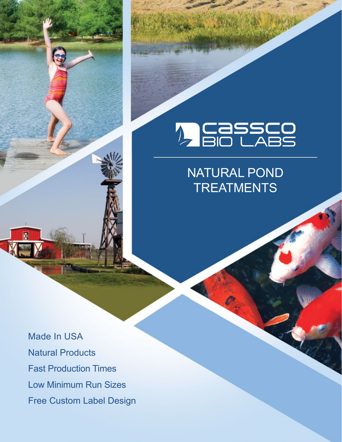# **A CASSCO**<br>A BIO LABS

### NATURAL POND **TREATMENTS**

Made In USA Natural Products Fast Production Times Low Minimum Run Sizes Free Custom Label Design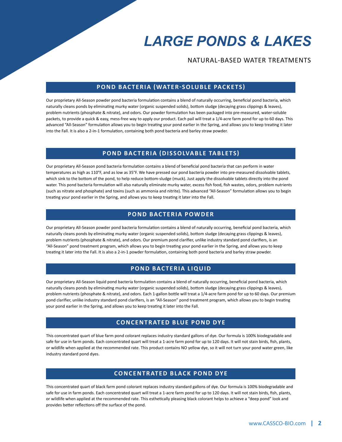# *LARGE PONDS & LAKES*

NATURAL-BASED WATER TREATMENTS

#### **POND BACTERIA (WATER-SOLUBLE PACKETS)**

Our proprietary All-Season powder pond bacteria formulation contains a blend of naturally occurring, beneficial pond bacteria, which naturally cleans ponds by eliminating murky water (organic suspended solids), bottom sludge (decaying grass clippings & leaves), problem nutrients (phosphate & nitrate), and odors. Our powder formulation has been packaged into pre-measured, water-soluble packets, to provide a quick & easy, mess-free way to apply our product. Each pail will treat a 1/4-acre farm pond for up to 60 days. This advanced "All-Season" formulation allows you to begin treating your pond earlier in the Spring, and allows you to keep treating it later into the Fall. It is also a 2-in-1 formulation, containing both pond bacteria and barley straw powder.

#### **POND BACTERIA (DISSOLVABLE TABLETS)**

Our proprietary All-Season pond bacteria formulation contains a blend of beneficial pond bacteria that can perform in water temperatures as high as 110°F, and as low as 35°F. We have pressed our pond bacteria powder into pre-measured dissolvable tablets, which sink to the bottom of the pond, to help reduce bottom-sludge (muck). Just apply the dissolvable tablets directly into the pond water. This pond bacteria formulation will also naturally eliminate murky water, excess fish food, fish wastes, odors, problem nutrients (such as nitrate and phosphate) and toxins (such as ammonia and nitrite). This advanced "All-Season" formulation allows you to begin treating your pond earlier in the Spring, and allows you to keep treating it later into the Fall.

#### **POND BACTERIA POWDER**

Our proprietary All-Season powder pond bacteria formulation contains a blend of naturally occurring, beneficial pond bacteria, which naturally cleans ponds by eliminating murky water (organic suspended solids), bottom sludge (decaying grass clippings & leaves), problem nutrients (phosphate & nitrate), and odors. Our premium pond clarifier, unlike industry standard pond clarifiers, is an "All-Season" pond treatment program, which allows you to begin treating your pond earlier in the Spring, and allows you to keep treating it later into the Fall. It is also a 2-in-1 powder formulation, containing both pond bacteria and barley straw powder.

#### **POND BACTERIA LIQUID**

Our proprietary All-Season liquid pond bacteria formulation contains a blend of naturally occurring, beneficial pond bacteria, which naturally cleans ponds by eliminating murky water (organic suspended solids), bottom sludge (decaying grass clippings & leaves), problem nutrients (phosphate & nitrate), and odors. Each 1-gallon bottle will treat a 1/4-acre farm pond for up to 60 days. Our premium pond clarifier, unlike industry standard pond clarifiers, is an "All-Season" pond treatment program, which allows you to begin treating your pond earlier in the Spring, and allows you to keep treating it later into the Fall.

#### **CONCENTRATED BLUE POND DYE**

This concentrated quart of blue farm pond colorant replaces industry standard gallons of dye. Our formula is 100% biodegradable and safe for use in farm ponds. Each concentrated quart will treat a 1-acre farm pond for up to 120 days. It will not stain birds, fish, plants, or wildlife when applied at the recommended rate. This product contains NO yellow dye, so it will not turn your pond water green, like industry standard pond dyes.

#### **CONCENTRATED BLACK POND DYE**

This concentrated quart of black farm pond colorant replaces industry standard gallons of dye. Our formula is 100% biodegradable and safe for use in farm ponds. Each concentrated quart will treat a 1-acre farm pond for up to 120 days. It will not stain birds, fish, plants, or wildlife when applied at the recommended rate. This esthetically pleasing black colorant helps to achieve a "deep pond" look and provides better reflections off the surface of the pond.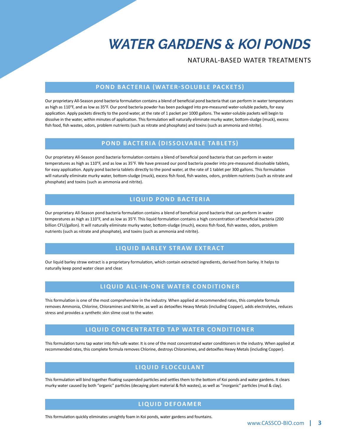## *WATER GARDENS & KOI PONDS*

#### NATURAL-BASED WATER TREATMENTS

#### **POND BACTERIA (WATER-SOLUBLE PACKETS)**

Our proprietary All-Season pond bacteria formulation contains a blend of beneficial pond bacteria that can perform in water temperatures as high as 110°F, and as low as 35°F. Our pond bacteria powder has been packaged into pre-measured water-soluble packets, for easy application. Apply packets directly to the pond water, at the rate of 1 packet per 1000 gallons. The water-soluble packets will begin to dissolve in the water, within minutes of application. This formulation will naturally eliminate murky water, bottom-sludge (muck), excess fish food, fish wastes, odors, problem nutrients (such as nitrate and phosphate) and toxins (such as ammonia and nitrite).

#### **POND BACTERIA (DISSOLVABLE TABLETS)**

Our proprietary All-Season pond bacteria formulation contains a blend of beneficial pond bacteria that can perform in water temperatures as high as 110°F, and as low as 35°F. We have pressed our pond bacteria powder into pre-measured dissolvable tablets, for easy application. Apply pond bacteria tablets directly to the pond water, at the rate of 1 tablet per 300 gallons. This formulation will naturally eliminate murky water, bottom-sludge (muck), excess fish food, fish wastes, odors, problem nutrients (such as nitrate and phosphate) and toxins (such as ammonia and nitrite).

#### **LIQUID POND BACTERIA**

Our proprietary All-Season pond bacteria formulation contains a blend of beneficial pond bacteria that can perform in water temperatures as high as 110°F, and as low as 35°F. This liquid formulation contains a high concentration of beneficial bacteria (200 billion CFU/gallon). It will naturally eliminate murky water, bottom-sludge (much), excess fish food, fish wastes, odors, problem nutrients (such as nitrate and phosphate), and toxins (such as ammonia and nitrite).

#### **LIQUID BARLEY STRAW EXTRACT**

Our liquid barley straw extract is a proprietary formulation, which contain extracted ingredients, derived from barley. It helps to naturally keep pond water clean and clear.

#### **LIQUID ALL-IN-ONE WATER CONDITIONER**

This formulation is one of the most comprehensive in the industry. When applied at recommended rates, this complete formula removes Ammonia, Chlorine, Chloramines and Nitrite, as well as detoxifies Heavy Metals (including Copper), adds electrolytes, reduces stress and provides a synthetic skin slime coat to the water.

#### **LIQUID CONCENTRATED TAP WATER CONDITIONER**

This formulation turns tap water into fish-safe water. It is one of the most concentrated water conditioners in the industry. When applied at recommended rates, this complete formula removes Chlorine, destroys Chloramines, and detoxifies Heavy Metals (including Copper).

#### **LIQUID FLOCCULANT**

This formulation will bind together floating suspended particles and settles them to the bottom of Koi ponds and water gardens. It clears murky water caused by both "organic" particles (decaying plant material & fish wastes), as well as "inorganic" particles (mud & clay).

#### **LIQUID DEFOAMER**

This formulation quickly eliminates unsightly foam in Koi ponds, water gardens and fountains.